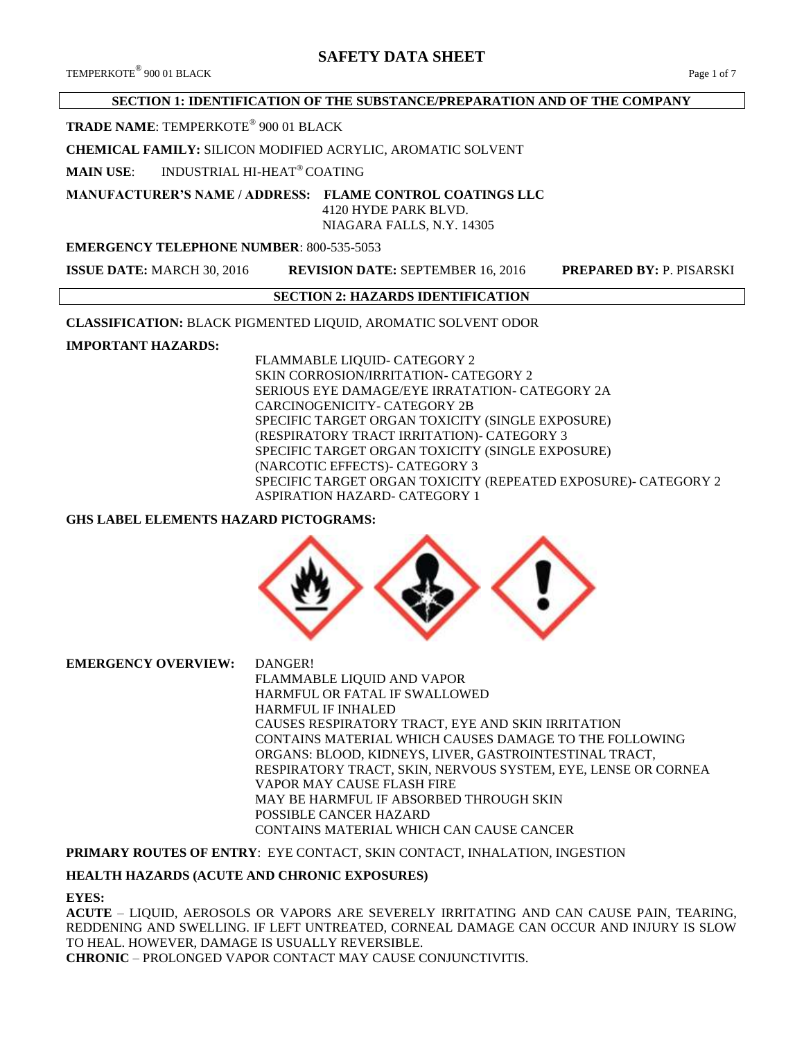TEMPERKOTE® 900 01 BLACK 900 01 BLACK Page 1 of 7

# **SECTION 1: IDENTIFICATION OF THE SUBSTANCE/PREPARATION AND OF THE COMPANY**

# **TRADE NAME**: TEMPERKOTE® 900 01 BLACK

**CHEMICAL FAMILY:** SILICON MODIFIED ACRYLIC, AROMATIC SOLVENT

**MAIN USE**: INDUSTRIAL HI-HEAT® COATING

#### **MANUFACTURER'S NAME / ADDRESS: FLAME CONTROL COATINGS LLC** 4120 HYDE PARK BLVD.

NIAGARA FALLS, N.Y. 14305

# **EMERGENCY TELEPHONE NUMBER**: 800-535-5053

**ISSUE DATE:** MARCH 30, 2016 **REVISION DATE:** SEPTEMBER 16, 2016 **PREPARED BY:** P. PISARSKI

# **SECTION 2: HAZARDS IDENTIFICATION**

**CLASSIFICATION:** BLACK PIGMENTED LIQUID, AROMATIC SOLVENT ODOR

# **IMPORTANT HAZARDS:**

FLAMMABLE LIQUID- CATEGORY 2 SKIN CORROSION/IRRITATION- CATEGORY 2 SERIOUS EYE DAMAGE/EYE IRRATATION- CATEGORY 2A CARCINOGENICITY- CATEGORY 2B SPECIFIC TARGET ORGAN TOXICITY (SINGLE EXPOSURE) (RESPIRATORY TRACT IRRITATION)- CATEGORY 3 SPECIFIC TARGET ORGAN TOXICITY (SINGLE EXPOSURE) (NARCOTIC EFFECTS)- CATEGORY 3 SPECIFIC TARGET ORGAN TOXICITY (REPEATED EXPOSURE)- CATEGORY 2 ASPIRATION HAZARD- CATEGORY 1

# **GHS LABEL ELEMENTS HAZARD PICTOGRAMS:**



**EMERGENCY OVERVIEW:** DANGER! FLAMMABLE LIQUID AND VAPOR HARMFUL OR FATAL IF SWALLOWED HARMFUL IF INHALED CAUSES RESPIRATORY TRACT, EYE AND SKIN IRRITATION CONTAINS MATERIAL WHICH CAUSES DAMAGE TO THE FOLLOWING ORGANS: BLOOD, KIDNEYS, LIVER, GASTROINTESTINAL TRACT, RESPIRATORY TRACT, SKIN, NERVOUS SYSTEM, EYE, LENSE OR CORNEA VAPOR MAY CAUSE FLASH FIRE MAY BE HARMFUL IF ABSORBED THROUGH SKIN POSSIBLE CANCER HAZARD CONTAINS MATERIAL WHICH CAN CAUSE CANCER

# **PRIMARY ROUTES OF ENTRY**: EYE CONTACT, SKIN CONTACT, INHALATION, INGESTION

#### **HEALTH HAZARDS (ACUTE AND CHRONIC EXPOSURES)**

#### **EYES:**

**ACUTE** – LIQUID, AEROSOLS OR VAPORS ARE SEVERELY IRRITATING AND CAN CAUSE PAIN, TEARING, REDDENING AND SWELLING. IF LEFT UNTREATED, CORNEAL DAMAGE CAN OCCUR AND INJURY IS SLOW TO HEAL. HOWEVER, DAMAGE IS USUALLY REVERSIBLE. **CHRONIC** – PROLONGED VAPOR CONTACT MAY CAUSE CONJUNCTIVITIS.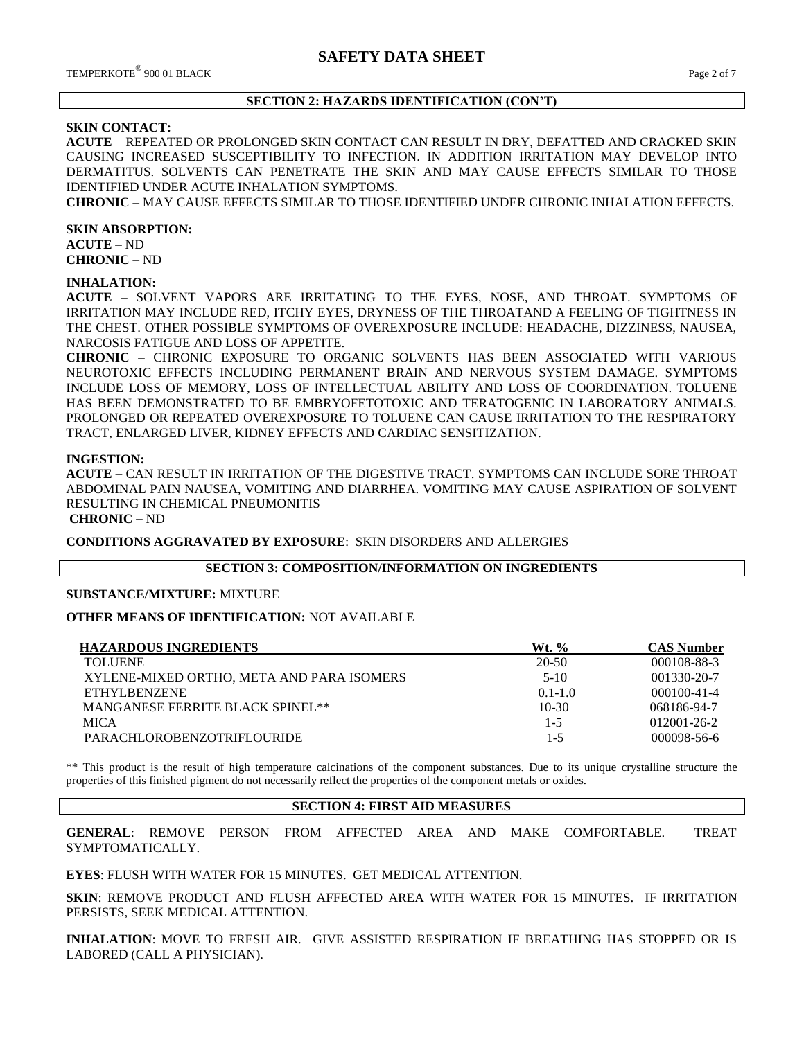## **SECTION 2: HAZARDS IDENTIFICATION (CON'T)**

# **SKIN CONTACT:**

**ACUTE** – REPEATED OR PROLONGED SKIN CONTACT CAN RESULT IN DRY, DEFATTED AND CRACKED SKIN CAUSING INCREASED SUSCEPTIBILITY TO INFECTION. IN ADDITION IRRITATION MAY DEVELOP INTO DERMATITUS. SOLVENTS CAN PENETRATE THE SKIN AND MAY CAUSE EFFECTS SIMILAR TO THOSE IDENTIFIED UNDER ACUTE INHALATION SYMPTOMS.

**CHRONIC** – MAY CAUSE EFFECTS SIMILAR TO THOSE IDENTIFIED UNDER CHRONIC INHALATION EFFECTS.

#### **SKIN ABSORPTION:**

**ACUTE** – ND **CHRONIC** – ND

#### **INHALATION:**

**ACUTE** – SOLVENT VAPORS ARE IRRITATING TO THE EYES, NOSE, AND THROAT. SYMPTOMS OF IRRITATION MAY INCLUDE RED, ITCHY EYES, DRYNESS OF THE THROATAND A FEELING OF TIGHTNESS IN THE CHEST. OTHER POSSIBLE SYMPTOMS OF OVEREXPOSURE INCLUDE: HEADACHE, DIZZINESS, NAUSEA, NARCOSIS FATIGUE AND LOSS OF APPETITE.

**CHRONIC** – CHRONIC EXPOSURE TO ORGANIC SOLVENTS HAS BEEN ASSOCIATED WITH VARIOUS NEUROTOXIC EFFECTS INCLUDING PERMANENT BRAIN AND NERVOUS SYSTEM DAMAGE. SYMPTOMS INCLUDE LOSS OF MEMORY, LOSS OF INTELLECTUAL ABILITY AND LOSS OF COORDINATION. TOLUENE HAS BEEN DEMONSTRATED TO BE EMBRYOFETOTOXIC AND TERATOGENIC IN LABORATORY ANIMALS. PROLONGED OR REPEATED OVEREXPOSURE TO TOLUENE CAN CAUSE IRRITATION TO THE RESPIRATORY TRACT, ENLARGED LIVER, KIDNEY EFFECTS AND CARDIAC SENSITIZATION.

#### **INGESTION:**

**ACUTE** – CAN RESULT IN IRRITATION OF THE DIGESTIVE TRACT. SYMPTOMS CAN INCLUDE SORE THROAT ABDOMINAL PAIN NAUSEA, VOMITING AND DIARRHEA. VOMITING MAY CAUSE ASPIRATION OF SOLVENT RESULTING IN CHEMICAL PNEUMONITIS

**CHRONIC** – ND

**CONDITIONS AGGRAVATED BY EXPOSURE**: SKIN DISORDERS AND ALLERGIES

### **SECTION 3: COMPOSITION/INFORMATION ON INGREDIENTS**

#### **SUBSTANCE/MIXTURE:** MIXTURE

#### **OTHER MEANS OF IDENTIFICATION:** NOT AVAILABLE

| <b>HAZARDOUS INGREDIENTS</b>              | $Wt.$ %     | <b>CAS Number</b> |
|-------------------------------------------|-------------|-------------------|
| <b>TOLUENE</b>                            | $20 - 50$   | 000108-88-3       |
| XYLENE-MIXED ORTHO, META AND PARA ISOMERS | $5-10$      | 001330-20-7       |
| ETHYLBENZENE                              | $0.1 - 1.0$ | $000100 - 41 - 4$ |
| <b>MANGANESE FERRITE BLACK SPINEL**</b>   | $10-30$     | 068186-94-7       |
| <b>MICA</b>                               | $1 - 5$     | $012001 - 26 - 2$ |
| <b>PARACHLOROBENZOTRIFLOURIDE</b>         | 1-5         | $000098 - 56 - 6$ |
|                                           |             |                   |

\*\* This product is the result of high temperature calcinations of the component substances. Due to its unique crystalline structure the properties of this finished pigment do not necessarily reflect the properties of the component metals or oxides.

#### **SECTION 4: FIRST AID MEASURES**

**GENERAL**: REMOVE PERSON FROM AFFECTED AREA AND MAKE COMFORTABLE. TREAT SYMPTOMATICALLY.

**EYES**: FLUSH WITH WATER FOR 15 MINUTES. GET MEDICAL ATTENTION.

**SKIN**: REMOVE PRODUCT AND FLUSH AFFECTED AREA WITH WATER FOR 15 MINUTES. IF IRRITATION PERSISTS, SEEK MEDICAL ATTENTION.

**INHALATION**: MOVE TO FRESH AIR. GIVE ASSISTED RESPIRATION IF BREATHING HAS STOPPED OR IS LABORED (CALL A PHYSICIAN).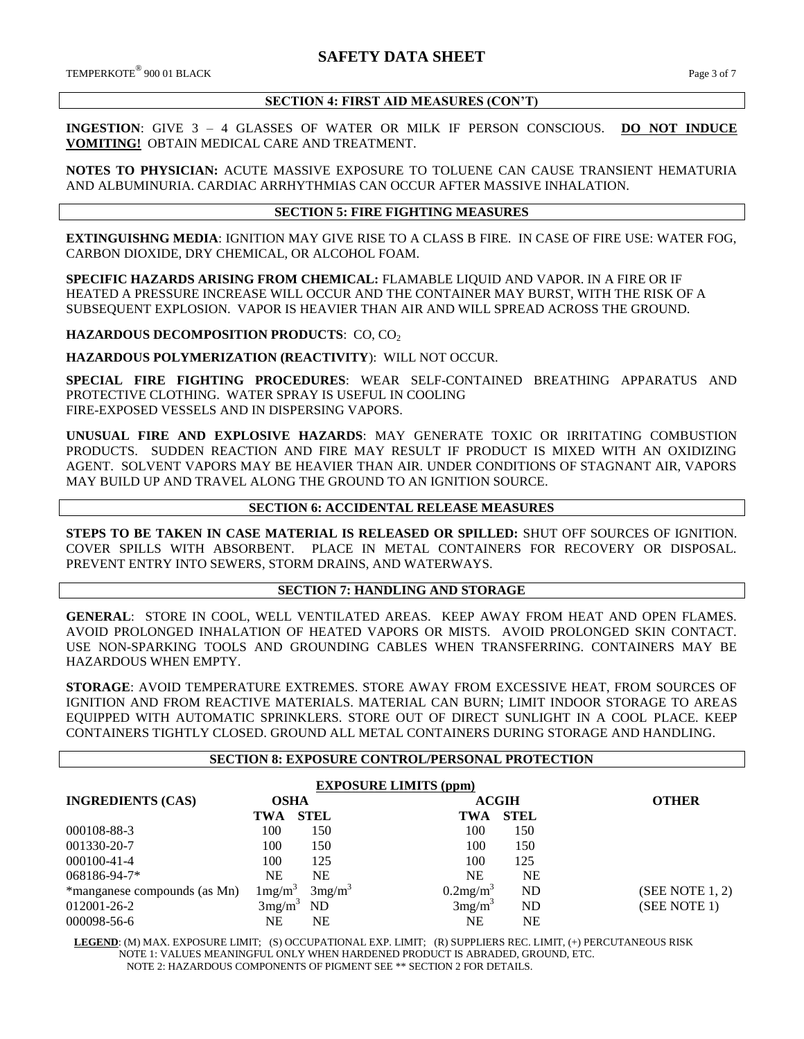## **SECTION 4: FIRST AID MEASURES (CON'T)**

**INGESTION**: GIVE 3 – 4 GLASSES OF WATER OR MILK IF PERSON CONSCIOUS. **DO NOT INDUCE VOMITING!** OBTAIN MEDICAL CARE AND TREATMENT.

**NOTES TO PHYSICIAN:** ACUTE MASSIVE EXPOSURE TO TOLUENE CAN CAUSE TRANSIENT HEMATURIA AND ALBUMINURIA. CARDIAC ARRHYTHMIAS CAN OCCUR AFTER MASSIVE INHALATION.

### **SECTION 5: FIRE FIGHTING MEASURES**

**EXTINGUISHNG MEDIA**: IGNITION MAY GIVE RISE TO A CLASS B FIRE. IN CASE OF FIRE USE: WATER FOG, CARBON DIOXIDE, DRY CHEMICAL, OR ALCOHOL FOAM.

**SPECIFIC HAZARDS ARISING FROM CHEMICAL:** FLAMABLE LIQUID AND VAPOR. IN A FIRE OR IF HEATED A PRESSURE INCREASE WILL OCCUR AND THE CONTAINER MAY BURST, WITH THE RISK OF A SUBSEQUENT EXPLOSION. VAPOR IS HEAVIER THAN AIR AND WILL SPREAD ACROSS THE GROUND.

**HAZARDOUS DECOMPOSITION PRODUCTS: CO, CO2** 

**HAZARDOUS POLYMERIZATION (REACTIVITY**): WILL NOT OCCUR.

**SPECIAL FIRE FIGHTING PROCEDURES**: WEAR SELF-CONTAINED BREATHING APPARATUS AND PROTECTIVE CLOTHING. WATER SPRAY IS USEFUL IN COOLING FIRE-EXPOSED VESSELS AND IN DISPERSING VAPORS.

**UNUSUAL FIRE AND EXPLOSIVE HAZARDS**: MAY GENERATE TOXIC OR IRRITATING COMBUSTION PRODUCTS. SUDDEN REACTION AND FIRE MAY RESULT IF PRODUCT IS MIXED WITH AN OXIDIZING AGENT. SOLVENT VAPORS MAY BE HEAVIER THAN AIR. UNDER CONDITIONS OF STAGNANT AIR, VAPORS MAY BUILD UP AND TRAVEL ALONG THE GROUND TO AN IGNITION SOURCE.

## **SECTION 6: ACCIDENTAL RELEASE MEASURES**

**STEPS TO BE TAKEN IN CASE MATERIAL IS RELEASED OR SPILLED:** SHUT OFF SOURCES OF IGNITION. COVER SPILLS WITH ABSORBENT. PLACE IN METAL CONTAINERS FOR RECOVERY OR DISPOSAL. PREVENT ENTRY INTO SEWERS, STORM DRAINS, AND WATERWAYS.

# **SECTION 7: HANDLING AND STORAGE**

**GENERAL**: STORE IN COOL, WELL VENTILATED AREAS. KEEP AWAY FROM HEAT AND OPEN FLAMES. AVOID PROLONGED INHALATION OF HEATED VAPORS OR MISTS. AVOID PROLONGED SKIN CONTACT. USE NON-SPARKING TOOLS AND GROUNDING CABLES WHEN TRANSFERRING. CONTAINERS MAY BE HAZARDOUS WHEN EMPTY.

**STORAGE**: AVOID TEMPERATURE EXTREMES. STORE AWAY FROM EXCESSIVE HEAT, FROM SOURCES OF IGNITION AND FROM REACTIVE MATERIALS. MATERIAL CAN BURN; LIMIT INDOOR STORAGE TO AREAS EQUIPPED WITH AUTOMATIC SPRINKLERS. STORE OUT OF DIRECT SUNLIGHT IN A COOL PLACE. KEEP CONTAINERS TIGHTLY CLOSED. GROUND ALL METAL CONTAINERS DURING STORAGE AND HANDLING.

#### **SECTION 8: EXPOSURE CONTROL/PERSONAL PROTECTION**

| <b>EXPOSURE LIMITS (ppm)</b> |                                         |                      |              |                |  |
|------------------------------|-----------------------------------------|----------------------|--------------|----------------|--|
| <b>INGREDIENTS (CAS)</b>     | OSHA                                    |                      | <b>ACGIH</b> | <b>OTHER</b>   |  |
|                              | <b>STEL</b><br>TWA                      | TWA                  | <b>STEL</b>  |                |  |
| 000108-88-3                  | 100<br>150                              | 100                  | 150          |                |  |
| 001330-20-7                  | 100<br>150                              | 100                  | 150          |                |  |
| 000100-41-4                  | 100<br>125                              | 100                  | 125          |                |  |
| 068186-94-7*                 | <b>NE</b><br><b>NE</b>                  | <b>NE</b>            | NE           |                |  |
| *manganese compounds (as Mn) | $1 \text{mg/m}^3$<br>3mg/m <sup>3</sup> | 0.2mg/m <sup>3</sup> | ND           | (SEE NOTE1, 2) |  |
| 012001-26-2                  | <b>ND</b><br>3mg/m <sup>3</sup>         | 3mg/m <sup>3</sup>   | ND           | (SEE NOTE 1)   |  |
| 000098-56-6                  | NE<br>NΕ                                | NE                   | NΕ           |                |  |

 **LEGEND**: (M) MAX. EXPOSURE LIMIT; (S) OCCUPATIONAL EXP. LIMIT; (R) SUPPLIERS REC. LIMIT, (+) PERCUTANEOUS RISK NOTE 1: VALUES MEANINGFUL ONLY WHEN HARDENED PRODUCT IS ABRADED, GROUND, ETC. NOTE 2: HAZARDOUS COMPONENTS OF PIGMENT SEE \*\* SECTION 2 FOR DETAILS.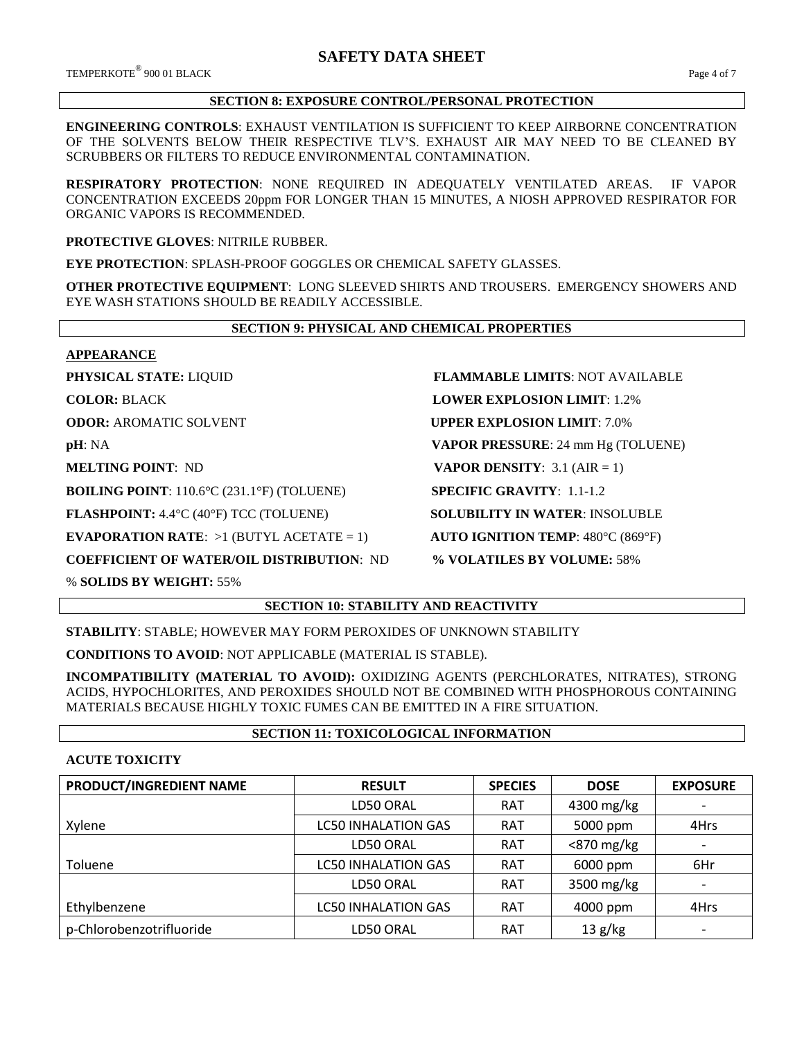TEMPERKOTE® 900 01 BLACK 900 01 BLACK Page 4 of 7

## **SECTION 8: EXPOSURE CONTROL/PERSONAL PROTECTION**

**ENGINEERING CONTROLS**: EXHAUST VENTILATION IS SUFFICIENT TO KEEP AIRBORNE CONCENTRATION OF THE SOLVENTS BELOW THEIR RESPECTIVE TLV'S. EXHAUST AIR MAY NEED TO BE CLEANED BY SCRUBBERS OR FILTERS TO REDUCE ENVIRONMENTAL CONTAMINATION.

**RESPIRATORY PROTECTION**: NONE REQUIRED IN ADEQUATELY VENTILATED AREAS. IF VAPOR CONCENTRATION EXCEEDS 20ppm FOR LONGER THAN 15 MINUTES, A NIOSH APPROVED RESPIRATOR FOR ORGANIC VAPORS IS RECOMMENDED.

**PROTECTIVE GLOVES**: NITRILE RUBBER.

**EYE PROTECTION**: SPLASH-PROOF GOGGLES OR CHEMICAL SAFETY GLASSES.

**OTHER PROTECTIVE EQUIPMENT**: LONG SLEEVED SHIRTS AND TROUSERS. EMERGENCY SHOWERS AND EYE WASH STATIONS SHOULD BE READILY ACCESSIBLE.

# **SECTION 9: PHYSICAL AND CHEMICAL PROPERTIES**

**APPEARANCE**

**BOILING POINT**: 110.6°C (231.1°F) (TOLUENE) **SPECIFIC GRAVITY**: 1.1-1.2

**FLASHPOINT:** 4.4°C (40°F) TCC (TOLUENE) **SOLUBILITY IN WATER**: INSOLUBLE

**EVAPORATION RATE**: >1 (BUTYL ACETATE = 1) **AUTO IGNITION TEMP**: 480°C (869°F)

**COEFFICIENT OF WATER/OIL DISTRIBUTION**: ND **% VOLATILES BY VOLUME:** 58%

% **SOLIDS BY WEIGHT:** 55%

**SECTION 10: STABILITY AND REACTIVITY**

**STABILITY**: STABLE; HOWEVER MAY FORM PEROXIDES OF UNKNOWN STABILITY

**CONDITIONS TO AVOID**: NOT APPLICABLE (MATERIAL IS STABLE).

**INCOMPATIBILITY (MATERIAL TO AVOID):** OXIDIZING AGENTS (PERCHLORATES, NITRATES), STRONG ACIDS, HYPOCHLORITES, AND PEROXIDES SHOULD NOT BE COMBINED WITH PHOSPHOROUS CONTAINING MATERIALS BECAUSE HIGHLY TOXIC FUMES CAN BE EMITTED IN A FIRE SITUATION.

# **SECTION 11: TOXICOLOGICAL INFORMATION**

# **ACUTE TOXICITY**

| PRODUCT/INGREDIENT NAME  | <b>RESULT</b>              | <b>SPECIES</b> | <b>DOSE</b>   | <b>EXPOSURE</b>          |
|--------------------------|----------------------------|----------------|---------------|--------------------------|
|                          | LD50 ORAL                  | <b>RAT</b>     | 4300 mg/kg    |                          |
| Xylene                   | <b>LC50 INHALATION GAS</b> | <b>RAT</b>     | 5000 ppm      | 4Hrs                     |
|                          | LD50 ORAL                  | <b>RAT</b>     | $<$ 870 mg/kg |                          |
| Toluene                  | <b>LC50 INHALATION GAS</b> | <b>RAT</b>     | 6000 ppm      | 6Hr                      |
|                          | LD50 ORAL                  | <b>RAT</b>     | 3500 mg/kg    |                          |
| Ethylbenzene             | <b>LC50 INHALATION GAS</b> | <b>RAT</b>     | 4000 ppm      | 4Hrs                     |
| p-Chlorobenzotrifluoride | LD50 ORAL                  | <b>RAT</b>     | 13 g/kg       | $\overline{\phantom{a}}$ |

**PHYSICAL STATE:** LIQUID **FLAMMABLE LIMITS**: NOT AVAILABLE **COLOR:** BLACK **LOWER EXPLOSION LIMIT**: 1.2% **ODOR:** AROMATIC SOLVENT **UPPER EXPLOSION LIMIT**: 7.0% **pH**: NA **VAPOR PRESSURE**: 24 mm Hg (TOLUENE) **MELTING POINT**: ND **VAPOR DENSITY**: 3.1 (AIR = 1)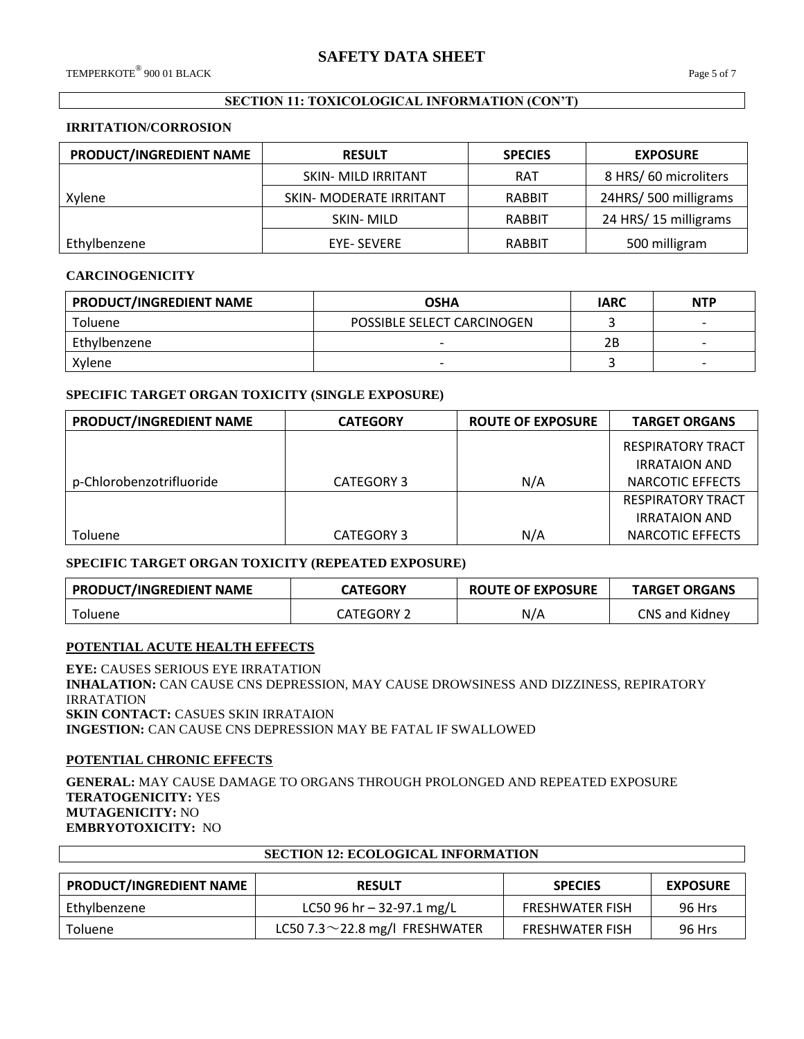# **SECTION 11: TOXICOLOGICAL INFORMATION (CON'T)**

#### **IRRITATION/CORROSION**

| PRODUCT/INGREDIENT NAME | <b>RESULT</b>                  | <b>SPECIES</b> | <b>EXPOSURE</b>      |
|-------------------------|--------------------------------|----------------|----------------------|
|                         | <b>SKIN- MILD IRRITANT</b>     | <b>RAT</b>     | 8 HRS/60 microliters |
| Xylene                  | <b>SKIN- MODERATE IRRITANT</b> | <b>RABBIT</b>  | 24HRS/500 milligrams |
|                         | SKIN-MILD                      | RABBIT         | 24 HRS/15 milligrams |
| Ethylbenzene            | EYE- SEVERE                    | RABBIT         | 500 milligram        |

## **CARCINOGENICITY**

| PRODUCT/INGREDIENT NAME | <b>OSHA</b>                | <b>IARC</b> | <b>NTP</b> |
|-------------------------|----------------------------|-------------|------------|
| Toluene                 | POSSIBLE SELECT CARCINOGEN |             |            |
| Ethylbenzene            |                            | 2Β          |            |
| Xylene                  | $\overline{\phantom{0}}$   |             |            |

# **SPECIFIC TARGET ORGAN TOXICITY (SINGLE EXPOSURE)**

| PRODUCT/INGREDIENT NAME  | <b>CATEGORY</b>   | <b>ROUTE OF EXPOSURE</b> | <b>TARGET ORGANS</b>     |
|--------------------------|-------------------|--------------------------|--------------------------|
|                          |                   |                          | <b>RESPIRATORY TRACT</b> |
|                          |                   |                          | <b>IRRATAION AND</b>     |
| p-Chlorobenzotrifluoride | <b>CATEGORY 3</b> | N/A                      | NARCOTIC EFFECTS         |
|                          |                   |                          | <b>RESPIRATORY TRACT</b> |
|                          |                   |                          | <b>IRRATAION AND</b>     |
| Toluene                  | <b>CATEGORY 3</b> | N/A                      | NARCOTIC EFFECTS         |

# **SPECIFIC TARGET ORGAN TOXICITY (REPEATED EXPOSURE)**

| <b>PRODUCT/INGREDIENT NAME</b> | <b>CATEGORY</b> | <b>ROUTE OF EXPOSURE</b> | <b>TARGET ORGANS</b> |
|--------------------------------|-----------------|--------------------------|----------------------|
| <b>Toluene</b>                 | CATEGORY 2      | N/A                      | CNS and Kidney       |

# **POTENTIAL ACUTE HEALTH EFFECTS**

**EYE:** CAUSES SERIOUS EYE IRRATATION **INHALATION:** CAN CAUSE CNS DEPRESSION, MAY CAUSE DROWSINESS AND DIZZINESS, REPIRATORY IRRATATION **SKIN CONTACT:** CASUES SKIN IRRATAION **INGESTION:** CAN CAUSE CNS DEPRESSION MAY BE FATAL IF SWALLOWED

# **POTENTIAL CHRONIC EFFECTS**

Ē

**GENERAL:** MAY CAUSE DAMAGE TO ORGANS THROUGH PROLONGED AND REPEATED EXPOSURE **TERATOGENICITY:** YES **MUTAGENICITY:** NO **EMBRYOTOXICITY:** NO

| <b>SECTION 12: ECOLOGICAL INFORMATION</b>                                            |                                      |                        |        |  |  |  |
|--------------------------------------------------------------------------------------|--------------------------------------|------------------------|--------|--|--|--|
| <b>PRODUCT/INGREDIENT NAME</b><br><b>EXPOSURE</b><br><b>SPECIES</b><br><b>RESULT</b> |                                      |                        |        |  |  |  |
|                                                                                      |                                      |                        |        |  |  |  |
| Ethylbenzene                                                                         | LC50 96 hr $-$ 32-97.1 mg/L          | <b>FRESHWATER FISH</b> | 96 Hrs |  |  |  |
| <b>Toluene</b>                                                                       | LC50 7.3 $\sim$ 22.8 mg/l FRESHWATER | <b>FRESHWATER FISH</b> | 96 Hrs |  |  |  |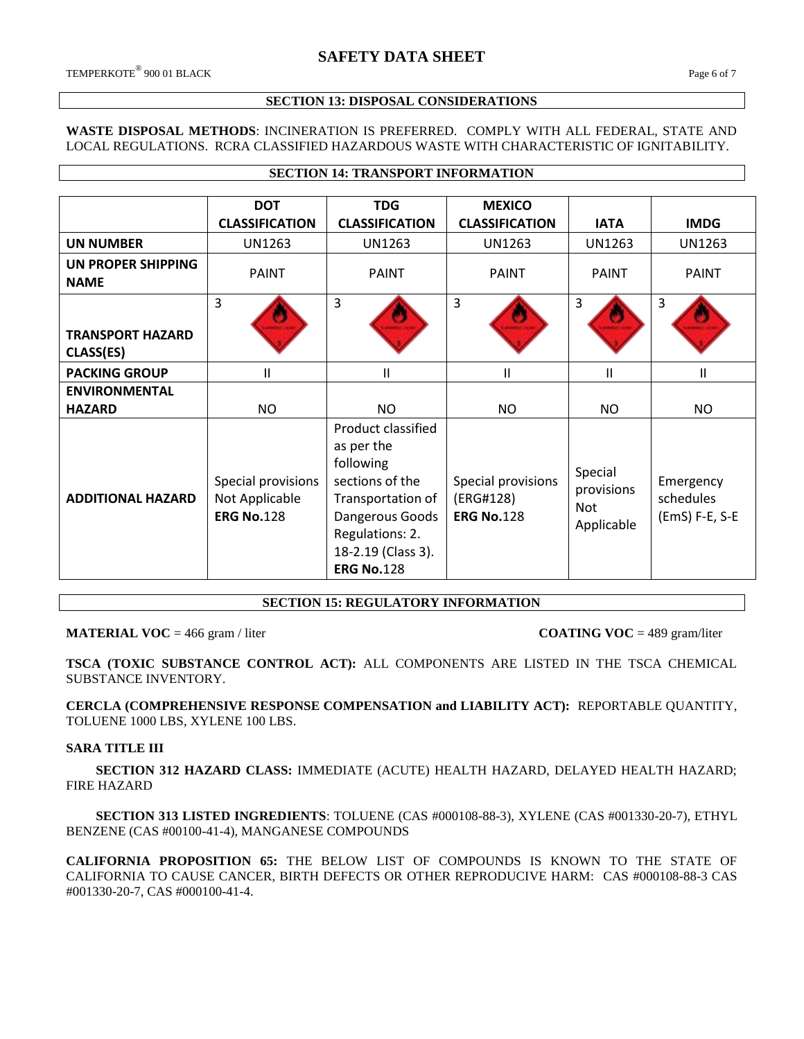Г

#### **SECTION 13: DISPOSAL CONSIDERATIONS**

## **WASTE DISPOSAL METHODS**: INCINERATION IS PREFERRED. COMPLY WITH ALL FEDERAL, STATE AND LOCAL REGULATIONS. RCRA CLASSIFIED HAZARDOUS WASTE WITH CHARACTERISTIC OF IGNITABILITY.

**SECTION 14: TRANSPORT INFORMATION**

|                                      | <b>DOT</b><br><b>CLASSIFICATION</b>                       | <b>TDG</b><br><b>CLASSIFICATION</b>                                                                                                                                    | <b>MEXICO</b><br><b>CLASSIFICATION</b>               | <b>IATA</b>                                | <b>IMDG</b>                              |
|--------------------------------------|-----------------------------------------------------------|------------------------------------------------------------------------------------------------------------------------------------------------------------------------|------------------------------------------------------|--------------------------------------------|------------------------------------------|
| <b>UN NUMBER</b>                     | <b>UN1263</b>                                             | <b>UN1263</b>                                                                                                                                                          | <b>UN1263</b>                                        | <b>UN1263</b>                              | <b>UN1263</b>                            |
| UN PROPER SHIPPING<br><b>NAME</b>    | <b>PAINT</b>                                              | <b>PAINT</b>                                                                                                                                                           | <b>PAINT</b>                                         | PAINT                                      | <b>PAINT</b>                             |
| <b>TRANSPORT HAZARD</b><br>CLASS(ES) | 3                                                         | 3                                                                                                                                                                      | $\overline{3}$                                       | 3                                          | 3                                        |
| <b>PACKING GROUP</b>                 | $\mathbf{H}$                                              | Ш                                                                                                                                                                      | Ш                                                    | Ш                                          | Ш                                        |
| <b>ENVIRONMENTAL</b>                 |                                                           |                                                                                                                                                                        |                                                      |                                            |                                          |
| <b>HAZARD</b>                        | <b>NO</b>                                                 | NO                                                                                                                                                                     | <b>NO</b>                                            | <b>NO</b>                                  | NO                                       |
| <b>ADDITIONAL HAZARD</b>             | Special provisions<br>Not Applicable<br><b>ERG No.128</b> | Product classified<br>as per the<br>following<br>sections of the<br>Transportation of<br>Dangerous Goods<br>Regulations: 2.<br>18-2.19 (Class 3).<br><b>ERG No.128</b> | Special provisions<br>(ERG#128)<br><b>ERG No.128</b> | Special<br>provisions<br>Not<br>Applicable | Emergency<br>schedules<br>(EmS) F-E, S-E |

# **SECTION 15: REGULATORY INFORMATION**

#### **MATERIAL VOC** = 466 gram / liter **COATING VOC** = 489 gram/liter

**TSCA (TOXIC SUBSTANCE CONTROL ACT):** ALL COMPONENTS ARE LISTED IN THE TSCA CHEMICAL SUBSTANCE INVENTORY.

**CERCLA (COMPREHENSIVE RESPONSE COMPENSATION and LIABILITY ACT):** REPORTABLE QUANTITY, TOLUENE 1000 LBS, XYLENE 100 LBS.

#### **SARA TITLE III**

 **SECTION 312 HAZARD CLASS:** IMMEDIATE (ACUTE) HEALTH HAZARD, DELAYED HEALTH HAZARD; FIRE HAZARD

 **SECTION 313 LISTED INGREDIENTS**: TOLUENE (CAS #000108-88-3), XYLENE (CAS #001330-20-7), ETHYL BENZENE (CAS #00100-41-4), MANGANESE COMPOUNDS

**CALIFORNIA PROPOSITION 65:** THE BELOW LIST OF COMPOUNDS IS KNOWN TO THE STATE OF CALIFORNIA TO CAUSE CANCER, BIRTH DEFECTS OR OTHER REPRODUCIVE HARM: CAS #000108-88-3 CAS #001330-20-7, CAS #000100-41-4.